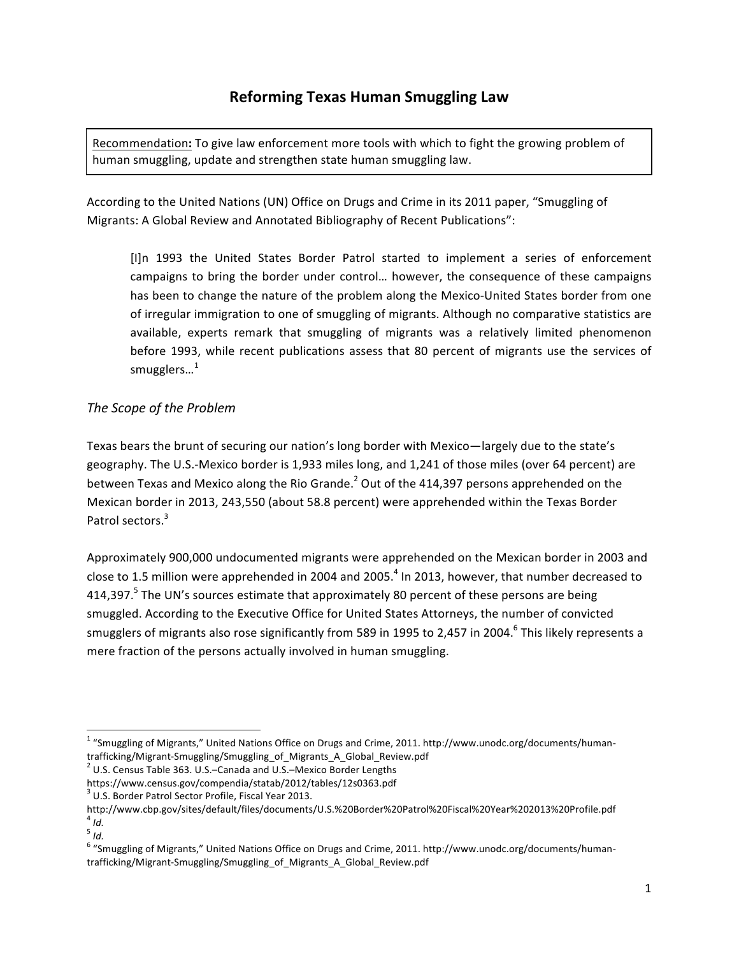Recommendation: To give law enforcement more tools with which to fight the growing problem of human smuggling, update and strengthen state human smuggling law.

According to the United Nations (UN) Office on Drugs and Crime in its 2011 paper, "Smuggling of Migrants: A Global Review and Annotated Bibliography of Recent Publications":

[I]n 1993 the United States Border Patrol started to implement a series of enforcement campaigns to bring the border under control... however, the consequence of these campaigns has been to change the nature of the problem along the Mexico-United States border from one of irregular immigration to one of smuggling of migrants. Although no comparative statistics are available, experts remark that smuggling of migrants was a relatively limited phenomenon before 1993, while recent publications assess that 80 percent of migrants use the services of smugglers...<sup>1</sup>

# *The Scope of the Problem*

Texas bears the brunt of securing our nation's long border with Mexico—largely due to the state's geography. The U.S.-Mexico border is 1,933 miles long, and 1,241 of those miles (over 64 percent) are between Texas and Mexico along the Rio Grande.<sup>2</sup> Out of the 414,397 persons apprehended on the Mexican border in 2013, 243,550 (about 58.8 percent) were apprehended within the Texas Border Patrol sectors.<sup>3</sup>

Approximately 900,000 undocumented migrants were apprehended on the Mexican border in 2003 and close to 1.5 million were apprehended in 2004 and 2005.<sup>4</sup> In 2013, however, that number decreased to 414,397.<sup>5</sup> The UN's sources estimate that approximately 80 percent of these persons are being smuggled. According to the Executive Office for United States Attorneys, the number of convicted smugglers of migrants also rose significantly from 589 in 1995 to 2,457 in 2004.<sup>6</sup> This likely represents a mere fraction of the persons actually involved in human smuggling.

<sup>&</sup>lt;sup>1</sup> "Smuggling of Migrants," United Nations Office on Drugs and Crime, 2011. http://www.unodc.org/documents/human-<br>trafficking/Migrant-Smuggling/Smuggling of Migrants A Global Review.pdf

<sup>&</sup>lt;sup>2</sup> U.S. Census Table 363. U.S.–Canada and U.S.–Mexico Border Lengths

https://www.census.gov/compendia/statab/2012/tables/12s0363.pdf  $3$  U.S. Border Patrol Sector Profile, Fiscal Year 2013.

http://www.cbp.gov/sites/default/files/documents/U.S.%20Border%20Patrol%20Fiscal%20Year%202013%20Profile.pdf <sup>4</sup> *Id.*

 $\frac{5}{1}$ 

 $6$  "Smuggling of Migrants," United Nations Office on Drugs and Crime, 2011. http://www.unodc.org/documents/humantrafficking/Migrant-Smuggling/Smuggling\_of\_Migrants\_A\_Global\_Review.pdf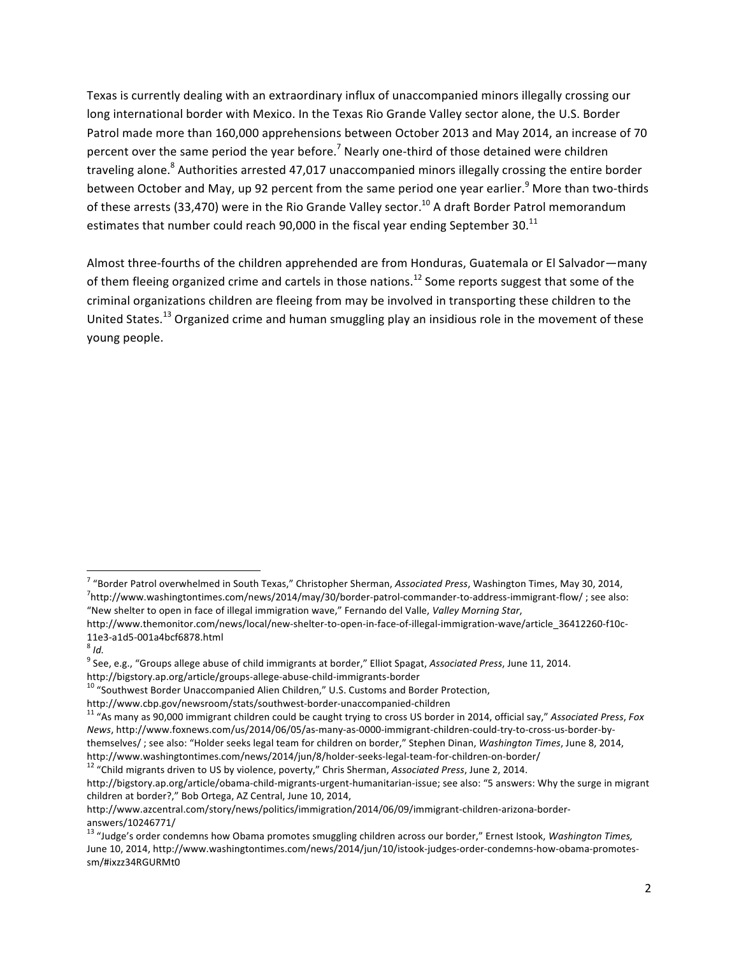Texas is currently dealing with an extraordinary influx of unaccompanied minors illegally crossing our long international border with Mexico. In the Texas Rio Grande Valley sector alone, the U.S. Border Patrol made more than 160,000 apprehensions between October 2013 and May 2014, an increase of 70 percent over the same period the year before.<sup>7</sup> Nearly one-third of those detained were children traveling alone.<sup>8</sup> Authorities arrested 47,017 unaccompanied minors illegally crossing the entire border between October and May, up 92 percent from the same period one year earlier.<sup>9</sup> More than two-thirds of these arrests (33,470) were in the Rio Grande Valley sector.<sup>10</sup> A draft Border Patrol memorandum estimates that number could reach 90,000 in the fiscal year ending September 30.<sup>11</sup>

Almost three-fourths of the children apprehended are from Honduras, Guatemala or El Salvador—many of them fleeing organized crime and cartels in those nations.<sup>12</sup> Some reports suggest that some of the criminal organizations children are fleeing from may be involved in transporting these children to the United States.<sup>13</sup> Organized crime and human smuggling play an insidious role in the movement of these young people.

<sup>&</sup>lt;sup>7</sup> "Border Patrol overwhelmed in South Texas," Christopher Sherman, Associated Press, Washington Times, May 30, 2014,  $h^7$ http://www.washingtontimes.com/news/2014/may/30/border-patrol-commander-to-address-immigrant-flow/ ; see also: "New shelter to open in face of illegal immigration wave," Fernando del Valle, Valley Morning Star,

http://www.themonitor.com/news/local/new-shelter-to-open-in-face-of-illegal-immigration-wave/article\_36412260-f10c-11e3-a1d5-001a4bcf6878.html <sup>8</sup> *Id.*

<sup>&</sup>lt;sup>9</sup> See, e.g., "Groups allege abuse of child immigrants at border," Elliot Spagat, *Associated Press*, June 11, 2014.<br>http://bigstory.ap.org/article/groups-allege-abuse-child-immigrants-border

 $10$  "Southwest Border Unaccompanied Alien Children," U.S. Customs and Border Protection,

http://www.cbp.gov/newsroom/stats/southwest-border-unaccompanied-children<br><sup>11</sup> "As many as 90,000 immigrant children could be caught trying to cross US border in 2014, official say," *Associated Press, Fox News*, http://www.foxnews.com/us/2014/06/05/as-many-as-0000-immigrant-children-could-try-to-cross-us-border-bythemselves/; see also: "Holder seeks legal team for children on border," Stephen Dinan, *Washington Times*, June 8, 2014,

http://www.washingtontimes.com/news/2014/jun/8/holder-seeks-legal-team-for-children-on-border/<br><sup>12</sup> "Child migrants driven to US by violence, poverty," Chris Sherman, *Associated Press*, June 2, 2014.

http://bigstory.ap.org/article/obama-child-migrants-urgent-humanitarian-issue; see also: "5 answers: Why the surge in migrant children at border?," Bob Ortega, AZ Central, June 10, 2014,

http://www.azcentral.com/story/news/politics/immigration/2014/06/09/immigrant-children-arizona-borderanswers/10246771/

<sup>&</sup>lt;sup>13</sup> "Judge's order condemns how Obama promotes smuggling children across our border," Ernest Istook, *Washington Times,* June 10, 2014, http://www.washingtontimes.com/news/2014/jun/10/istook-judges-order-condemns-how-obama-promotessm/#ixzz34RGURMt0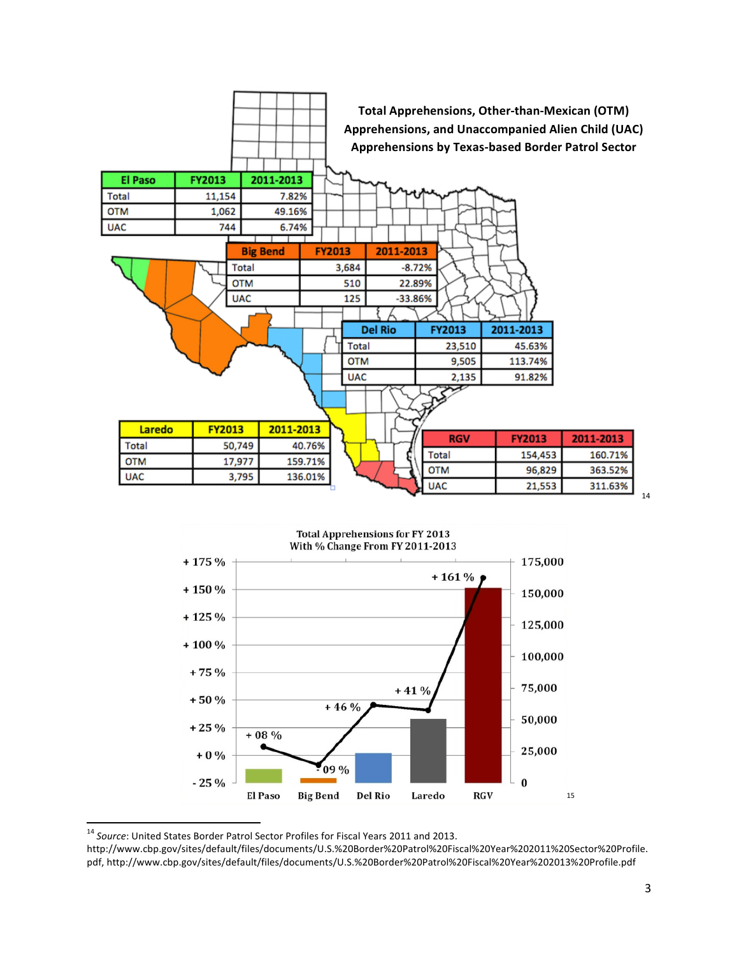



<sup>&</sup>lt;sup>14</sup> Source: United States Border Patrol Sector Profiles for Fiscal Years 2011 and 2013.

http://www.cbp.gov/sites/default/files/documents/U.S.%20Border%20Patrol%20Fiscal%20Year%202011%20Sector%20Profile. pdf, http://www.cbp.gov/sites/default/files/documents/U.S.%20Border%20Patrol%20Fiscal%20Year%202013%20Profile.pdf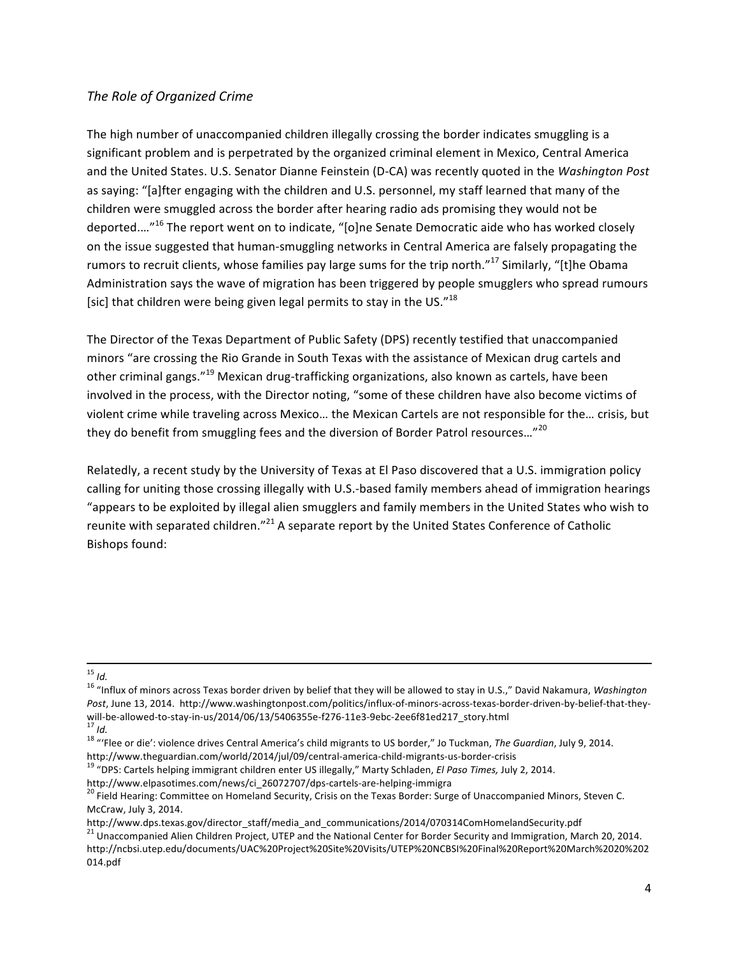## **The Role of Organized Crime**

The high number of unaccompanied children illegally crossing the border indicates smuggling is a significant problem and is perpetrated by the organized criminal element in Mexico, Central America and the United States. U.S. Senator Dianne Feinstein (D-CA) was recently quoted in the Washington Post as saying: "[a]fter engaging with the children and U.S. personnel, my staff learned that many of the children were smuggled across the border after hearing radio ads promising they would not be deported....<sup>"16</sup> The report went on to indicate, "[o]ne Senate Democratic aide who has worked closely on the issue suggested that human-smuggling networks in Central America are falsely propagating the rumors to recruit clients, whose families pay large sums for the trip north."<sup>17</sup> Similarly, "[t]he Obama Administration says the wave of migration has been triggered by people smugglers who spread rumours [sic] that children were being given legal permits to stay in the US." $18$ 

The Director of the Texas Department of Public Safety (DPS) recently testified that unaccompanied minors "are crossing the Rio Grande in South Texas with the assistance of Mexican drug cartels and other criminal gangs."<sup>19</sup> Mexican drug-trafficking organizations, also known as cartels, have been involved in the process, with the Director noting, "some of these children have also become victims of violent crime while traveling across Mexico... the Mexican Cartels are not responsible for the... crisis, but they do benefit from smuggling fees and the diversion of Border Patrol resources..."<sup>20</sup>

Relatedly, a recent study by the University of Texas at El Paso discovered that a U.S. immigration policy calling for uniting those crossing illegally with U.S.-based family members ahead of immigration hearings "appears to be exploited by illegal alien smugglers and family members in the United States who wish to reunite with separated children."<sup>21</sup> A separate report by the United States Conference of Catholic Bishops found:

<sup>&</sup>lt;sup>15</sup> *Id.*<br><sup>16</sup> "Influx of minors across Texas border driven by belief that they will be allowed to stay in U.S.," David Nakamura, *Washington* Post, June 13, 2014. http://www.washingtonpost.com/politics/influx-of-minors-across-texas-border-driven-by-belief-that-theywill-be-allowed-to-stay-in-us/2014/06/13/5406355e-f276-11e3-9ebc-2ee6f81ed217\_story.html<br><sup>17</sup> Id.<br><sup>18</sup> "'Flee or die': violence drives Central America's child migrants to US border," Jo Tuckman, The Guardian, July 9, 2014.

http://www.theguardian.com/world/2014/jul/09/central-america-child-migrants-us-border-crisis<br><sup>19</sup> "DPS: Cartels helping immigrant children enter US illegally," Marty Schladen, *El Paso Times*, July 2, 2014.

http://www.elpasotimes.com/news/ci\_26072707/dps-cartels-are-helping-immigra<br><sup>20</sup> Field Hearing: Committee on Homeland Security, Crisis on the Texas Border: Surge of Unaccompanied Minors, Steven C. McCraw, July 3, 2014.

http://www.dps.texas.gov/director\_staff/media\_and\_communications/2014/070314ComHomelandSecurity.pdf

<sup>&</sup>lt;sup>21</sup> Unaccompanied Alien Children Project, UTEP and the National Center for Border Security and Immigration, March 20, 2014. http://ncbsi.utep.edu/documents/UAC%20Project%20Site%20Visits/UTEP%20NCBSI%20Final%20Report%20March%2020%202 014.pdf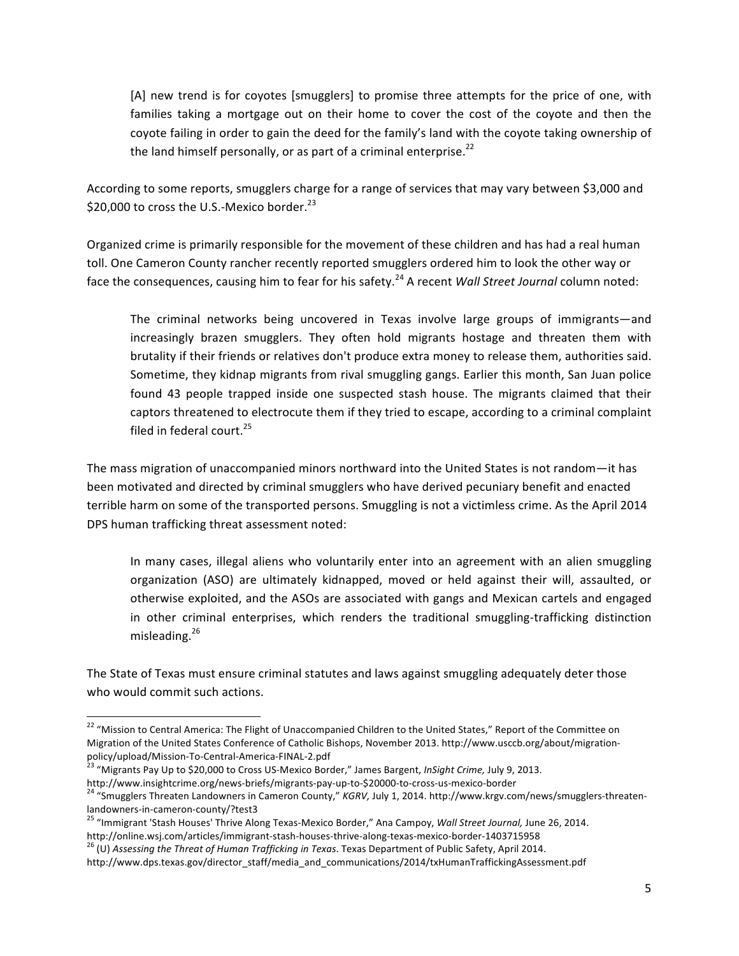[A] new trend is for coyotes [smugglers] to promise three attempts for the price of one, with families taking a mortgage out on their home to cover the cost of the coyote and then the coyote failing in order to gain the deed for the family's land with the coyote taking ownership of the land himself personally, or as part of a criminal enterprise. $^{22}$ 

According to some reports, smugglers charge for a range of services that may vary between \$3,000 and \$20,000 to cross the U.S.-Mexico border. $^{23}$ 

Organized crime is primarily responsible for the movement of these children and has had a real human toll. One Cameron County rancher recently reported smugglers ordered him to look the other way or face the consequences, causing him to fear for his safety.<sup>24</sup> A recent *Wall Street Journal* column noted:

The criminal networks being uncovered in Texas involve large groups of immigrants—and increasingly brazen smugglers. They often hold migrants hostage and threaten them with brutality if their friends or relatives don't produce extra money to release them, authorities said. Sometime, they kidnap migrants from rival smuggling gangs. Earlier this month, San Juan police found 43 people trapped inside one suspected stash house. The migrants claimed that their captors threatened to electrocute them if they tried to escape, according to a criminal complaint filed in federal court. $25$ 

The mass migration of unaccompanied minors northward into the United States is not random—it has been motivated and directed by criminal smugglers who have derived pecuniary benefit and enacted terrible harm on some of the transported persons. Smuggling is not a victimless crime. As the April 2014 DPS human trafficking threat assessment noted:

In many cases, illegal aliens who voluntarily enter into an agreement with an alien smuggling organization (ASO) are ultimately kidnapped, moved or held against their will, assaulted, or otherwise exploited, and the ASOs are associated with gangs and Mexican cartels and engaged in other criminal enterprises, which renders the traditional smuggling-trafficking distinction misleading.<sup>26</sup>

The State of Texas must ensure criminal statutes and laws against smuggling adequately deter those who would commit such actions.

<sup>&</sup>lt;sup>22</sup> "Mission to Central America: The Flight of Unaccompanied Children to the United States," Report of the Committee on Migration of the United States Conference of Catholic Bishops, November 2013. http://www.usccb.org/about/migration-policy/upload/Mission-To-Central-America-FINAL-2.pdf

<sup>&</sup>lt;sup>23</sup> "Migrants Pay Up to \$20,000 to Cross US-Mexico Border," James Bargent, *InSight Crime, July 9, 2013.* 

http://www.insightcrime.org/news-briefs/migrants-pay-up-to-\$20000-to-cross-us-mexico-border<br><sup>24</sup> "Smugglers Threaten Landowners in Cameron County," *KGRV, July 1, 2014.* http://www.krgv.com/news/smugglers-threaten-

landowners-in-cameron-county/?test3<br><sup>25</sup> "Immigrant 'Stash Houses' Thrive Along Texas-Mexico Border," Ana Campoy, *Wall Street Journal,* June 26, 2014.<br>http://online.wsj.com/articles/immigrant-stash-houses-thrive-along-tex

<sup>&</sup>lt;sup>26</sup> (U) Assessing the Threat of Human Trafficking in Texas. Texas Department of Public Safety, April 2014.

http://www.dps.texas.gov/director\_staff/media\_and\_communications/2014/txHumanTraffickingAssessment.pdf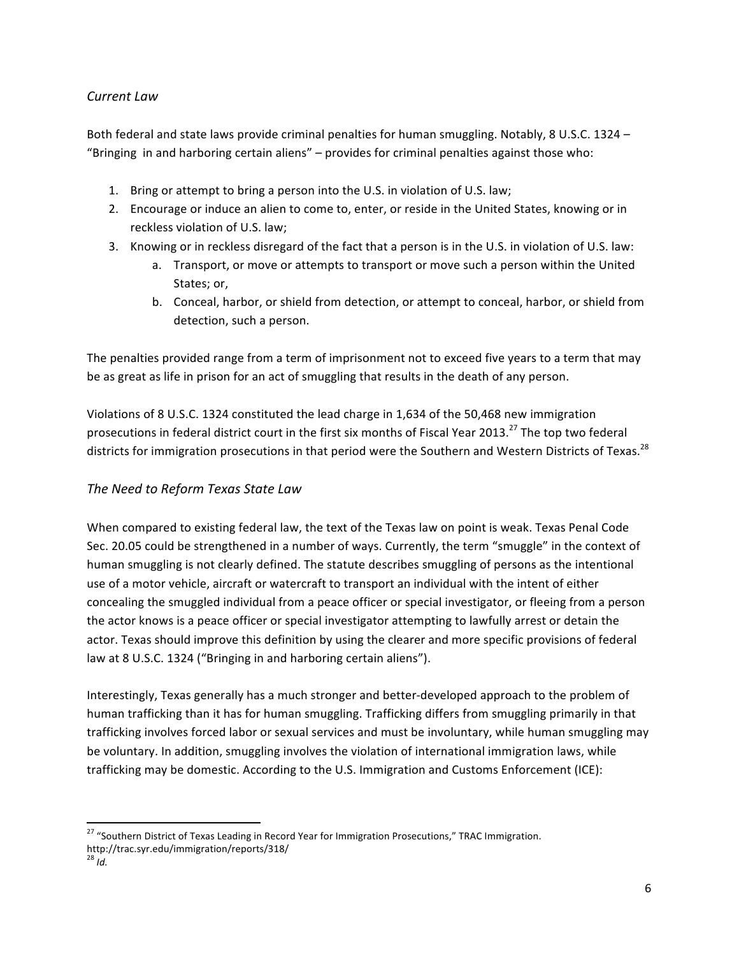## *Current Law*

Both federal and state laws provide criminal penalties for human smuggling. Notably, 8 U.S.C. 1324 – "Bringing in and harboring certain aliens" – provides for criminal penalties against those who:

- 1. Bring or attempt to bring a person into the U.S. in violation of U.S. law;
- 2. Encourage or induce an alien to come to, enter, or reside in the United States, knowing or in reckless violation of U.S. law:
- 3. Knowing or in reckless disregard of the fact that a person is in the U.S. in violation of U.S. law:
	- a. Transport, or move or attempts to transport or move such a person within the United States; or,
	- b. Conceal, harbor, or shield from detection, or attempt to conceal, harbor, or shield from detection, such a person.

The penalties provided range from a term of imprisonment not to exceed five years to a term that may be as great as life in prison for an act of smuggling that results in the death of any person.

Violations of 8 U.S.C. 1324 constituted the lead charge in 1,634 of the 50,468 new immigration prosecutions in federal district court in the first six months of Fiscal Year 2013.<sup>27</sup> The top two federal districts for immigration prosecutions in that period were the Southern and Western Districts of Texas.<sup>28</sup>

## *The Need to Reform Texas State Law*

When compared to existing federal law, the text of the Texas law on point is weak. Texas Penal Code Sec. 20.05 could be strengthened in a number of ways. Currently, the term "smuggle" in the context of human smuggling is not clearly defined. The statute describes smuggling of persons as the intentional use of a motor vehicle, aircraft or watercraft to transport an individual with the intent of either concealing the smuggled individual from a peace officer or special investigator, or fleeing from a person the actor knows is a peace officer or special investigator attempting to lawfully arrest or detain the actor. Texas should improve this definition by using the clearer and more specific provisions of federal law at 8 U.S.C. 1324 ("Bringing in and harboring certain aliens").

Interestingly, Texas generally has a much stronger and better-developed approach to the problem of human trafficking than it has for human smuggling. Trafficking differs from smuggling primarily in that trafficking involves forced labor or sexual services and must be involuntary, while human smuggling may be voluntary. In addition, smuggling involves the violation of international immigration laws, while trafficking may be domestic. According to the U.S. Immigration and Customs Enforcement (ICE):

<sup>&</sup>lt;sup>27</sup> "Southern District of Texas Leading in Record Year for Immigration Prosecutions," TRAC Immigration. http://trac.syr.edu/immigration/reports/318/ 

 $^{28}$  *Id.*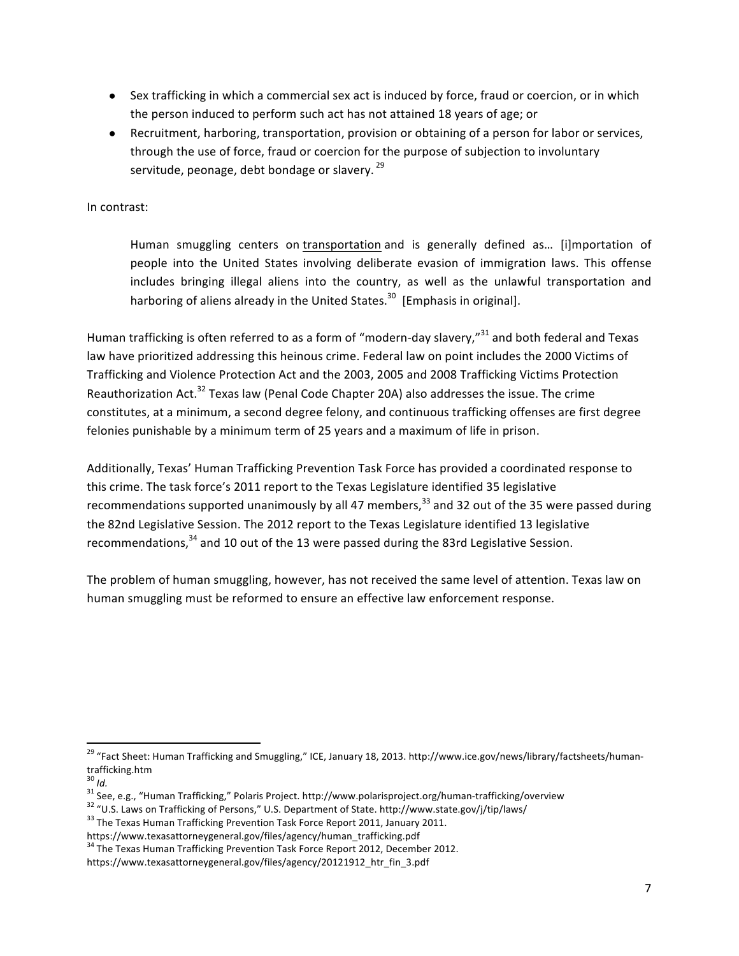- Sex trafficking in which a commercial sex act is induced by force, fraud or coercion, or in which the person induced to perform such act has not attained 18 years of age; or
- Recruitment, harboring, transportation, provision or obtaining of a person for labor or services, through the use of force, fraud or coercion for the purpose of subjection to involuntary servitude, peonage, debt bondage or slavery.  $29$

In contrast:

Human smuggling centers on transportation and is generally defined as... [i]mportation of people into the United States involving deliberate evasion of immigration laws. This offense includes bringing illegal aliens into the country, as well as the unlawful transportation and harboring of aliens already in the United States.<sup>30</sup> [Emphasis in original].

Human trafficking is often referred to as a form of "modern-day slavery,"<sup>31</sup> and both federal and Texas law have prioritized addressing this heinous crime. Federal law on point includes the 2000 Victims of Trafficking and Violence Protection Act and the 2003, 2005 and 2008 Trafficking Victims Protection Reauthorization Act.<sup>32</sup> Texas law (Penal Code Chapter 20A) also addresses the issue. The crime constitutes, at a minimum, a second degree felony, and continuous trafficking offenses are first degree felonies punishable by a minimum term of 25 years and a maximum of life in prison.

Additionally, Texas' Human Trafficking Prevention Task Force has provided a coordinated response to this crime. The task force's 2011 report to the Texas Legislature identified 35 legislative recommendations supported unanimously by all 47 members,  $33$  and 32 out of the 35 were passed during the 82nd Legislative Session. The 2012 report to the Texas Legislature identified 13 legislative recommendations, $34$  and 10 out of the 13 were passed during the 83rd Legislative Session.

The problem of human smuggling, however, has not received the same level of attention. Texas law on human smuggling must be reformed to ensure an effective law enforcement response.

<sup>&</sup>lt;sup>29</sup> "Fact Sheet: Human Trafficking and Smuggling," ICE, January 18, 2013. http://www.ice.gov/news/library/factsheets/humantrafficking.htm

<sup>&</sup>lt;sup>30</sup> Id.<br><sup>31</sup> See, e.g., "Human Trafficking," Polaris Project. http://www.polarisproject.org/human-trafficking/overview<br><sup>32</sup> "U.S. Laws on Trafficking of Persons," U.S. Department of State. http://www.state.gov/j/tip/laws/

https://www.texasattorneygeneral.gov/files/agency/human\_trafficking.pdf 

<sup>&</sup>lt;sup>34</sup> The Texas Human Trafficking Prevention Task Force Report 2012, December 2012. https://www.texasattorneygeneral.gov/files/agency/20121912\_htr\_fin\_3.pdf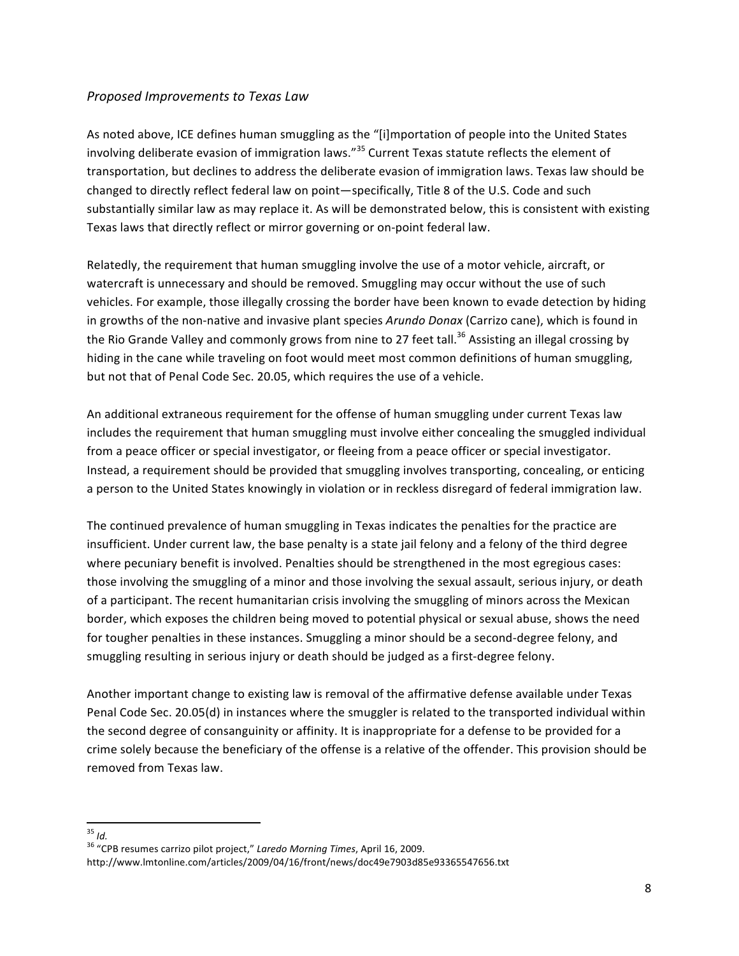### *Proposed Improvements to Texas Law*

As noted above, ICE defines human smuggling as the "[i]mportation of people into the United States involving deliberate evasion of immigration laws."<sup>35</sup> Current Texas statute reflects the element of transportation, but declines to address the deliberate evasion of immigration laws. Texas law should be changed to directly reflect federal law on point—specifically, Title 8 of the U.S. Code and such substantially similar law as may replace it. As will be demonstrated below, this is consistent with existing Texas laws that directly reflect or mirror governing or on-point federal law.

Relatedly, the requirement that human smuggling involve the use of a motor vehicle, aircraft, or watercraft is unnecessary and should be removed. Smuggling may occur without the use of such vehicles. For example, those illegally crossing the border have been known to evade detection by hiding in growths of the non-native and invasive plant species *Arundo Donax* (Carrizo cane), which is found in the Rio Grande Valley and commonly grows from nine to 27 feet tall.<sup>36</sup> Assisting an illegal crossing by hiding in the cane while traveling on foot would meet most common definitions of human smuggling, but not that of Penal Code Sec. 20.05, which requires the use of a vehicle.

An additional extraneous requirement for the offense of human smuggling under current Texas law includes the requirement that human smuggling must involve either concealing the smuggled individual from a peace officer or special investigator, or fleeing from a peace officer or special investigator. Instead, a requirement should be provided that smuggling involves transporting, concealing, or enticing a person to the United States knowingly in violation or in reckless disregard of federal immigration law.

The continued prevalence of human smuggling in Texas indicates the penalties for the practice are insufficient. Under current law, the base penalty is a state jail felony and a felony of the third degree where pecuniary benefit is involved. Penalties should be strengthened in the most egregious cases: those involving the smuggling of a minor and those involving the sexual assault, serious injury, or death of a participant. The recent humanitarian crisis involving the smuggling of minors across the Mexican border, which exposes the children being moved to potential physical or sexual abuse, shows the need for tougher penalties in these instances. Smuggling a minor should be a second-degree felony, and smuggling resulting in serious injury or death should be judged as a first-degree felony.

Another important change to existing law is removal of the affirmative defense available under Texas Penal Code Sec. 20.05(d) in instances where the smuggler is related to the transported individual within the second degree of consanguinity or affinity. It is inappropriate for a defense to be provided for a crime solely because the beneficiary of the offense is a relative of the offender. This provision should be removed from Texas law.

<sup>&</sup>lt;sup>35</sup> *Id.*<br><sup>36</sup> "CPB resumes carrizo pilot project," *Laredo Morning Times*, April 16, 2009. http://www.lmtonline.com/articles/2009/04/16/front/news/doc49e7903d85e93365547656.txt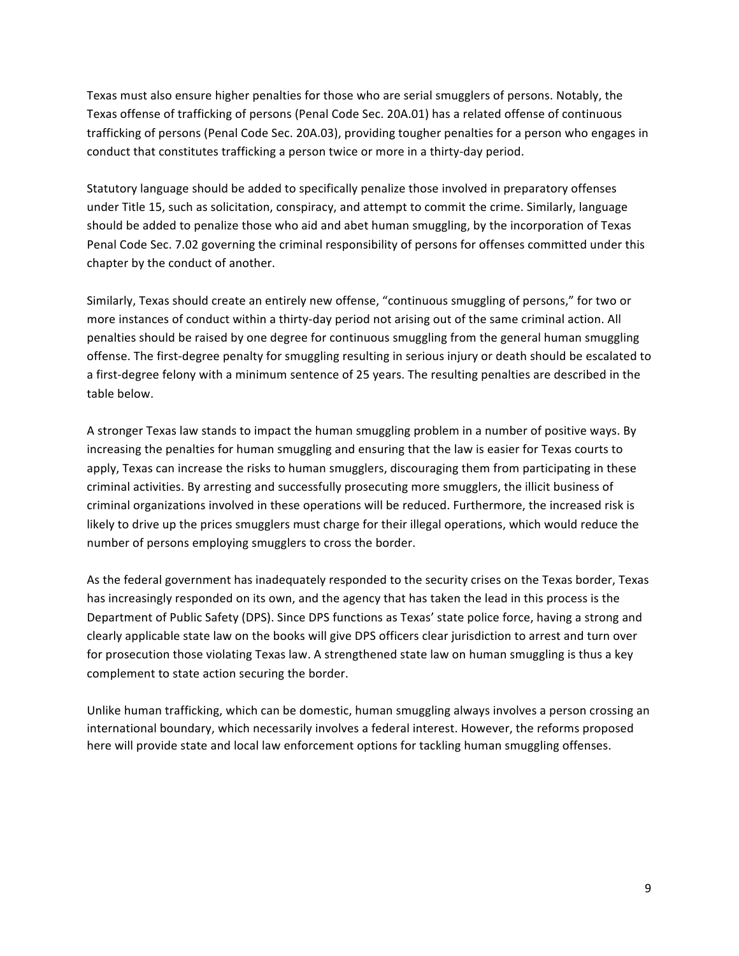Texas must also ensure higher penalties for those who are serial smugglers of persons. Notably, the Texas offense of trafficking of persons (Penal Code Sec. 20A.01) has a related offense of continuous trafficking of persons (Penal Code Sec. 20A.03), providing tougher penalties for a person who engages in conduct that constitutes trafficking a person twice or more in a thirty-day period.

Statutory language should be added to specifically penalize those involved in preparatory offenses under Title 15, such as solicitation, conspiracy, and attempt to commit the crime. Similarly, language should be added to penalize those who aid and abet human smuggling, by the incorporation of Texas Penal Code Sec. 7.02 governing the criminal responsibility of persons for offenses committed under this chapter by the conduct of another.

Similarly, Texas should create an entirely new offense, "continuous smuggling of persons," for two or more instances of conduct within a thirty-day period not arising out of the same criminal action. All penalties should be raised by one degree for continuous smuggling from the general human smuggling offense. The first-degree penalty for smuggling resulting in serious injury or death should be escalated to a first-degree felony with a minimum sentence of 25 years. The resulting penalties are described in the table below.

A stronger Texas law stands to impact the human smuggling problem in a number of positive ways. By increasing the penalties for human smuggling and ensuring that the law is easier for Texas courts to apply, Texas can increase the risks to human smugglers, discouraging them from participating in these criminal activities. By arresting and successfully prosecuting more smugglers, the illicit business of criminal organizations involved in these operations will be reduced. Furthermore, the increased risk is likely to drive up the prices smugglers must charge for their illegal operations, which would reduce the number of persons employing smugglers to cross the border.

As the federal government has inadequately responded to the security crises on the Texas border, Texas has increasingly responded on its own, and the agency that has taken the lead in this process is the Department of Public Safety (DPS). Since DPS functions as Texas' state police force, having a strong and clearly applicable state law on the books will give DPS officers clear jurisdiction to arrest and turn over for prosecution those violating Texas law. A strengthened state law on human smuggling is thus a key complement to state action securing the border.

Unlike human trafficking, which can be domestic, human smuggling always involves a person crossing an international boundary, which necessarily involves a federal interest. However, the reforms proposed here will provide state and local law enforcement options for tackling human smuggling offenses.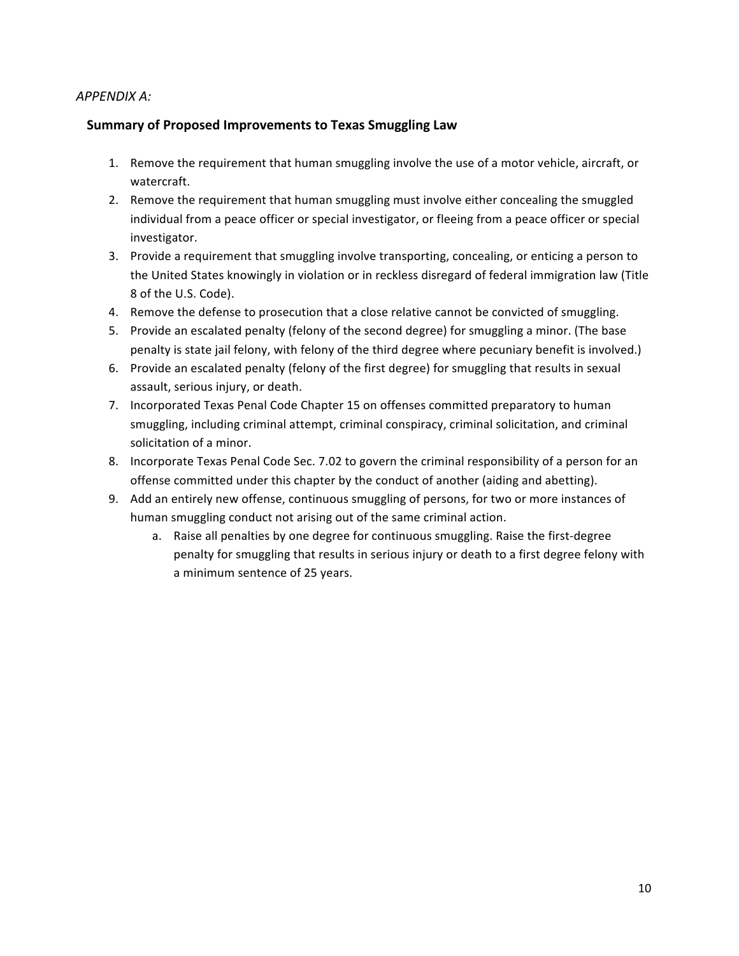### *APPENDIX A:*

### **Summary of Proposed Improvements to Texas Smuggling Law**

- 1. Remove the requirement that human smuggling involve the use of a motor vehicle, aircraft, or watercraft.
- 2. Remove the requirement that human smuggling must involve either concealing the smuggled individual from a peace officer or special investigator, or fleeing from a peace officer or special investigator.
- 3. Provide a requirement that smuggling involve transporting, concealing, or enticing a person to the United States knowingly in violation or in reckless disregard of federal immigration law (Title 8 of the U.S. Code).
- 4. Remove the defense to prosecution that a close relative cannot be convicted of smuggling.
- 5. Provide an escalated penalty (felony of the second degree) for smuggling a minor. (The base penalty is state jail felony, with felony of the third degree where pecuniary benefit is involved.)
- 6. Provide an escalated penalty (felony of the first degree) for smuggling that results in sexual assault, serious injury, or death.
- 7. Incorporated Texas Penal Code Chapter 15 on offenses committed preparatory to human smuggling, including criminal attempt, criminal conspiracy, criminal solicitation, and criminal solicitation of a minor.
- 8. Incorporate Texas Penal Code Sec. 7.02 to govern the criminal responsibility of a person for an offense committed under this chapter by the conduct of another (aiding and abetting).
- 9. Add an entirely new offense, continuous smuggling of persons, for two or more instances of human smuggling conduct not arising out of the same criminal action.
	- a. Raise all penalties by one degree for continuous smuggling. Raise the first-degree penalty for smuggling that results in serious injury or death to a first degree felony with a minimum sentence of 25 years.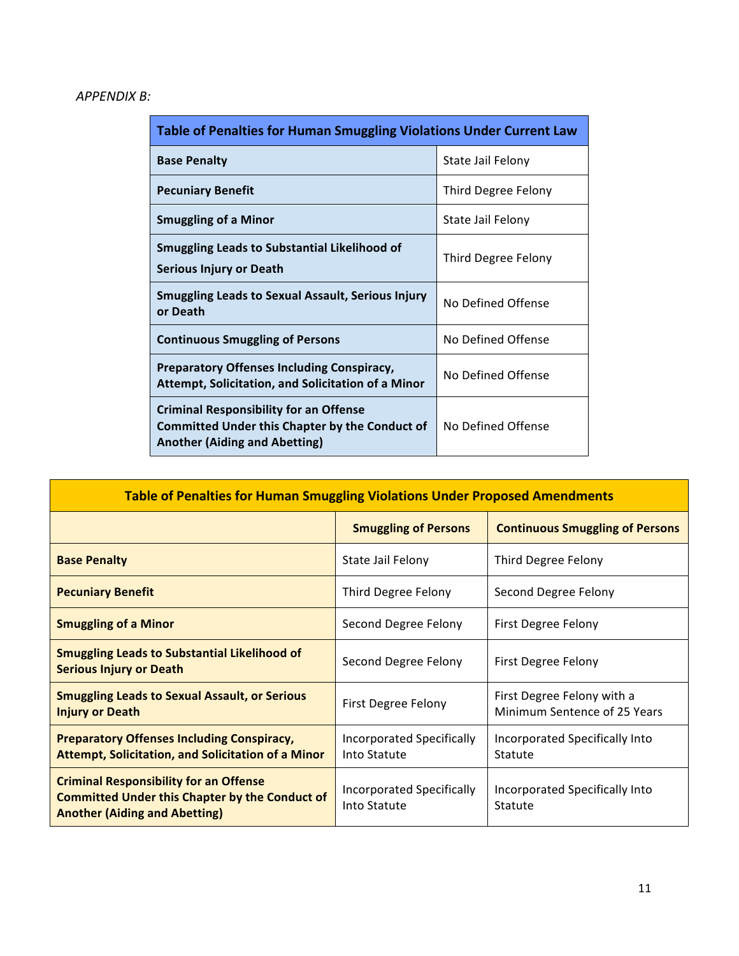# *APPENDIX B:*

| <b>Table of Penalties for Human Smuggling Violations Under Current Law</b>                                                                     |                     |  |
|------------------------------------------------------------------------------------------------------------------------------------------------|---------------------|--|
| <b>Base Penalty</b>                                                                                                                            | State Jail Felony   |  |
| <b>Pecuniary Benefit</b>                                                                                                                       | Third Degree Felony |  |
| <b>Smuggling of a Minor</b>                                                                                                                    | State Jail Felony   |  |
| <b>Smuggling Leads to Substantial Likelihood of</b><br>Serious Injury or Death                                                                 | Third Degree Felony |  |
| <b>Smuggling Leads to Sexual Assault, Serious Injury</b><br>or Death                                                                           | No Defined Offense  |  |
| <b>Continuous Smuggling of Persons</b>                                                                                                         | No Defined Offense  |  |
| <b>Preparatory Offenses Including Conspiracy,</b><br>Attempt, Solicitation, and Solicitation of a Minor                                        | No Defined Offense  |  |
| <b>Criminal Responsibility for an Offense</b><br><b>Committed Under this Chapter by the Conduct of</b><br><b>Another (Aiding and Abetting)</b> | No Defined Offense  |  |

| <b>Table of Penalties for Human Smuggling Violations Under Proposed Amendments</b>                                                             |                                           |                                                            |  |
|------------------------------------------------------------------------------------------------------------------------------------------------|-------------------------------------------|------------------------------------------------------------|--|
|                                                                                                                                                | <b>Smuggling of Persons</b>               | <b>Continuous Smuggling of Persons</b>                     |  |
| <b>Base Penalty</b>                                                                                                                            | State Jail Felony                         | Third Degree Felony                                        |  |
| <b>Pecuniary Benefit</b>                                                                                                                       | Third Degree Felony                       | Second Degree Felony                                       |  |
| <b>Smuggling of a Minor</b>                                                                                                                    | Second Degree Felony                      | First Degree Felony                                        |  |
| <b>Smuggling Leads to Substantial Likelihood of</b><br><b>Serious Injury or Death</b>                                                          | Second Degree Felony                      | First Degree Felony                                        |  |
| <b>Smuggling Leads to Sexual Assault, or Serious</b><br><b>Injury or Death</b>                                                                 | First Degree Felony                       | First Degree Felony with a<br>Minimum Sentence of 25 Years |  |
| <b>Preparatory Offenses Including Conspiracy,</b><br><b>Attempt, Solicitation, and Solicitation of a Minor</b>                                 | Incorporated Specifically<br>Into Statute | Incorporated Specifically Into<br>Statute                  |  |
| <b>Criminal Responsibility for an Offense</b><br><b>Committed Under this Chapter by the Conduct of</b><br><b>Another (Aiding and Abetting)</b> | Incorporated Specifically<br>Into Statute | Incorporated Specifically Into<br>Statute                  |  |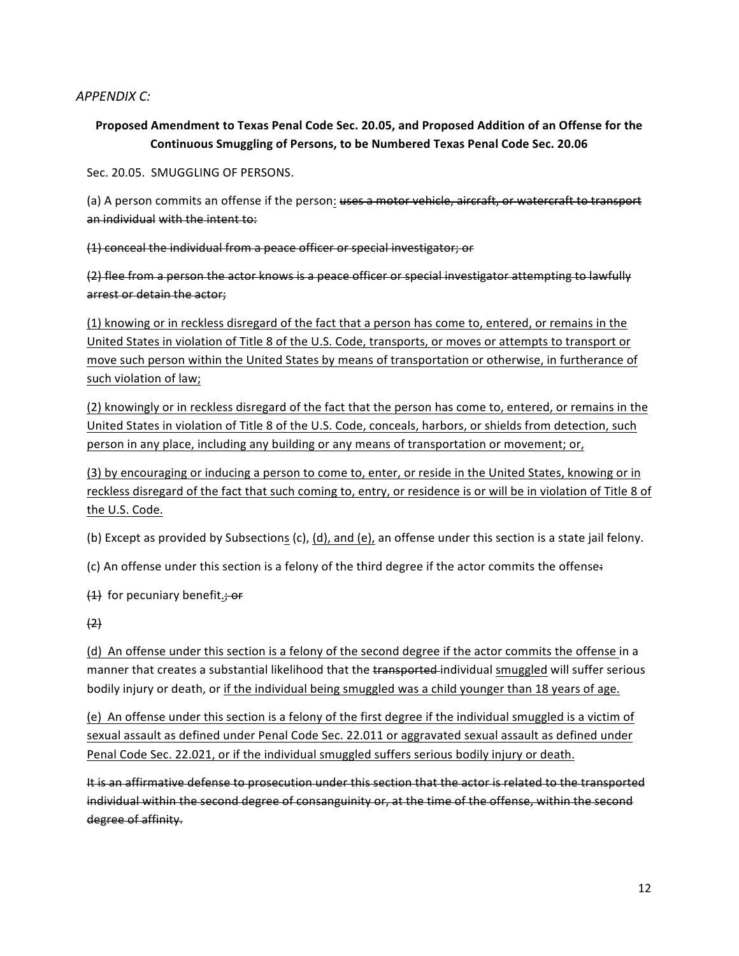### *APPENDIX C:*

## Proposed Amendment to Texas Penal Code Sec. 20.05, and Proposed Addition of an Offense for the Continuous Smuggling of Persons, to be Numbered Texas Penal Code Sec. 20.06

Sec. 20.05. SMUGGLING OF PERSONS.

(a) A person commits an offense if the person: uses a motor vehicle, aircraft, or watercraft to transport an individual with the intent to:

(1) conceal the individual from a peace officer or special investigator; or

(2) flee from a person the actor knows is a peace officer or special investigator attempting to lawfully arrest or detain the actor:

(1) knowing or in reckless disregard of the fact that a person has come to, entered, or remains in the United States in violation of Title 8 of the U.S. Code, transports, or moves or attempts to transport or move such person within the United States by means of transportation or otherwise, in furtherance of such violation of law;

(2) knowingly or in reckless disregard of the fact that the person has come to, entered, or remains in the United States in violation of Title 8 of the U.S. Code, conceals, harbors, or shields from detection, such person in any place, including any building or any means of transportation or movement; or,

(3) by encouraging or inducing a person to come to, enter, or reside in the United States, knowing or in reckless disregard of the fact that such coming to, entry, or residence is or will be in violation of Title 8 of the U.S. Code.

(b) Except as provided by Subsections (c), (d), and (e), an offense under this section is a state jail felony.

(c) An offense under this section is a felony of the third degree if the actor commits the offense:

 $(1)$  for pecuniary benefit.; or

 $(2)$ 

(d) An offense under this section is a felony of the second degree if the actor commits the offense in a manner that creates a substantial likelihood that the transported-individual smuggled will suffer serious bodily injury or death, or if the individual being smuggled was a child younger than 18 years of age.

(e) An offense under this section is a felony of the first degree if the individual smuggled is a victim of sexual assault as defined under Penal Code Sec. 22.011 or aggravated sexual assault as defined under Penal Code Sec. 22.021, or if the individual smuggled suffers serious bodily injury or death.

It is an affirmative defense to prosecution under this section that the actor is related to the transported individual within the second degree of consanguinity or, at the time of the offense, within the second degree of affinity.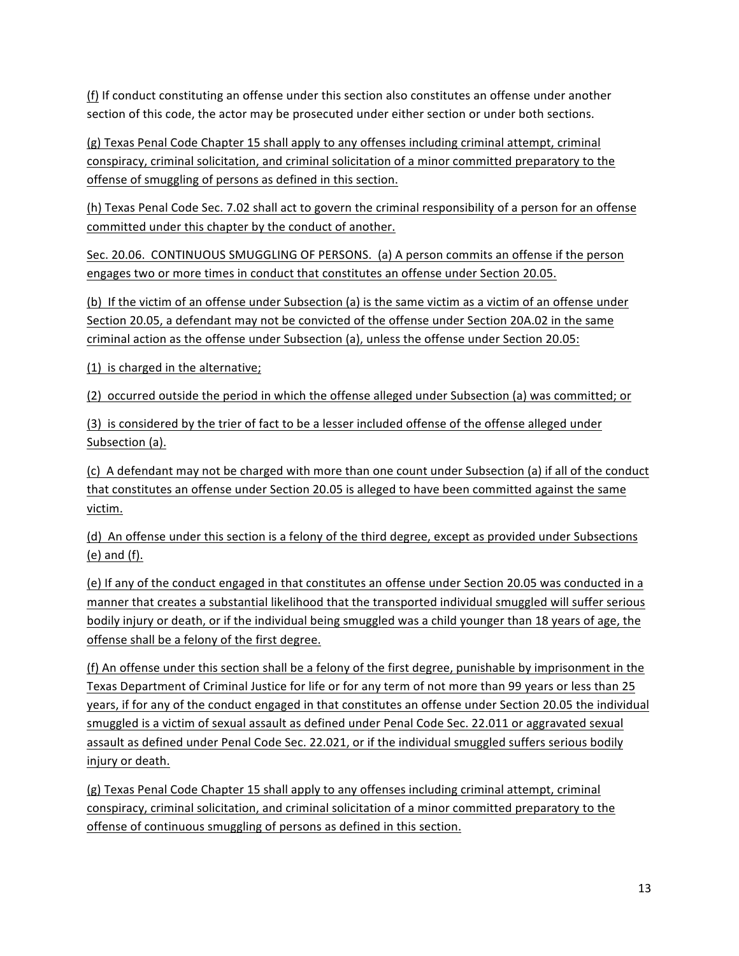(f) If conduct constituting an offense under this section also constitutes an offense under another section of this code, the actor may be prosecuted under either section or under both sections.

(g) Texas Penal Code Chapter 15 shall apply to any offenses including criminal attempt, criminal conspiracy, criminal solicitation, and criminal solicitation of a minor committed preparatory to the offense of smuggling of persons as defined in this section.

(h) Texas Penal Code Sec. 7.02 shall act to govern the criminal responsibility of a person for an offense committed under this chapter by the conduct of another.

Sec. 20.06. CONTINUOUS SMUGGLING OF PERSONS. (a) A person commits an offense if the person engages two or more times in conduct that constitutes an offense under Section 20.05.

(b) If the victim of an offense under Subsection (a) is the same victim as a victim of an offense under Section 20.05, a defendant may not be convicted of the offense under Section 20A.02 in the same criminal action as the offense under Subsection (a), unless the offense under Section 20.05:

(1) is charged in the alternative;

(2) occurred outside the period in which the offense alleged under Subsection (a) was committed; or

(3) is considered by the trier of fact to be a lesser included offense of the offense alleged under Subsection (a).

(c) A defendant may not be charged with more than one count under Subsection (a) if all of the conduct that constitutes an offense under Section 20.05 is alleged to have been committed against the same victim.

(d) An offense under this section is a felony of the third degree, except as provided under Subsections  $(e)$  and  $(f)$ .

(e) If any of the conduct engaged in that constitutes an offense under Section 20.05 was conducted in a manner that creates a substantial likelihood that the transported individual smuggled will suffer serious bodily injury or death, or if the individual being smuggled was a child younger than 18 years of age, the offense shall be a felony of the first degree.

(f) An offense under this section shall be a felony of the first degree, punishable by imprisonment in the Texas Department of Criminal Justice for life or for any term of not more than 99 years or less than 25 years, if for any of the conduct engaged in that constitutes an offense under Section 20.05 the individual smuggled is a victim of sexual assault as defined under Penal Code Sec. 22.011 or aggravated sexual assault as defined under Penal Code Sec. 22.021, or if the individual smuggled suffers serious bodily injury or death.

(g) Texas Penal Code Chapter 15 shall apply to any offenses including criminal attempt, criminal conspiracy, criminal solicitation, and criminal solicitation of a minor committed preparatory to the offense of continuous smuggling of persons as defined in this section.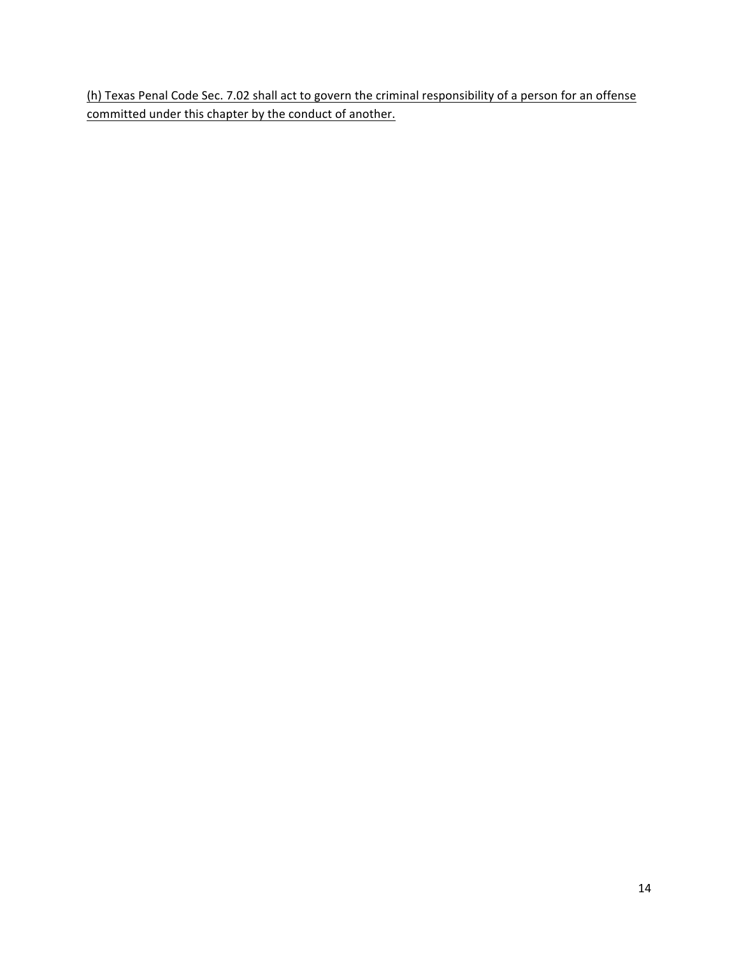(h) Texas Penal Code Sec. 7.02 shall act to govern the criminal responsibility of a person for an offense committed under this chapter by the conduct of another.